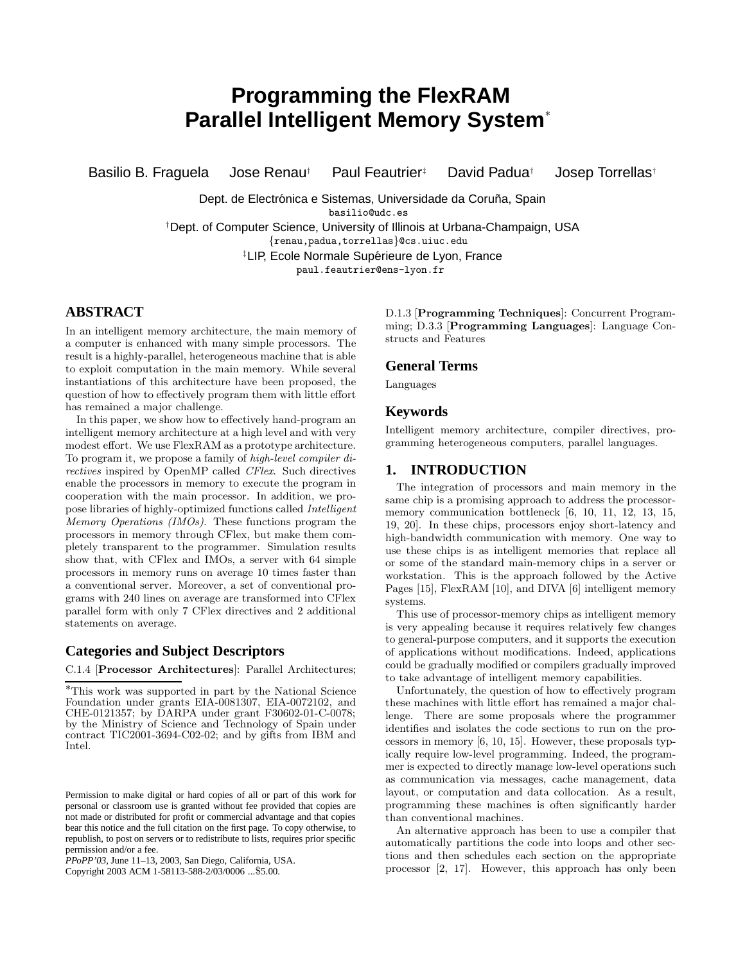# **Programming the FlexRAM Parallel Intelligent Memory System**<sup>∗</sup>

Basilio B. Fraguela Jose Renau† Paul Feautrier‡ David Padua† Josep Torrellas†

Dept. de Electrónica e Sistemas, Universidade da Coruña, Spain

basilio@udc.es

†Dept. of Computer Science, University of Illinois at Urbana-Champaign, USA

{renau,padua,torrellas}@cs.uiuc.edu ‡LIP, Ecole Normale Supérieure de Lyon, France

paul.feautrier@ens-lyon.fr

# **ABSTRACT**

In an intelligent memory architecture, the main memory of a computer is enhanced with many simple processors. The result is a highly-parallel, heterogeneous machine that is able to exploit computation in the main memory. While several instantiations of this architecture have been proposed, the question of how to effectively program them with little effort has remained a major challenge.

In this paper, we show how to effectively hand-program an intelligent memory architecture at a high level and with very modest effort. We use FlexRAM as a prototype architecture. To program it, we propose a family of high-level compiler directives inspired by OpenMP called CFlex. Such directives enable the processors in memory to execute the program in cooperation with the main processor. In addition, we propose libraries of highly-optimized functions called Intelligent Memory Operations (IMOs). These functions program the processors in memory through CFlex, but make them completely transparent to the programmer. Simulation results show that, with CFlex and IMOs, a server with 64 simple processors in memory runs on average 10 times faster than a conventional server. Moreover, a set of conventional programs with 240 lines on average are transformed into CFlex parallel form with only 7 CFlex directives and 2 additional statements on average.

# **Categories and Subject Descriptors**

C.1.4 [Processor Architectures]: Parallel Architectures;

Copyright 2003 ACM 1-58113-588-2/03/0006 ...\$5.00.

D.1.3 [Programming Techniques]: Concurrent Programming; D.3.3 [Programming Languages]: Language Constructs and Features

## **General Terms**

Languages

## **Keywords**

Intelligent memory architecture, compiler directives, programming heterogeneous computers, parallel languages.

# **1. INTRODUCTION**

The integration of processors and main memory in the same chip is a promising approach to address the processormemory communication bottleneck [6, 10, 11, 12, 13, 15, 19, 20]. In these chips, processors enjoy short-latency and high-bandwidth communication with memory. One way to use these chips is as intelligent memories that replace all or some of the standard main-memory chips in a server or workstation. This is the approach followed by the Active Pages [15], FlexRAM [10], and DIVA [6] intelligent memory systems.

This use of processor-memory chips as intelligent memory is very appealing because it requires relatively few changes to general-purpose computers, and it supports the execution of applications without modifications. Indeed, applications could be gradually modified or compilers gradually improved to take advantage of intelligent memory capabilities.

Unfortunately, the question of how to effectively program these machines with little effort has remained a major challenge. There are some proposals where the programmer identifies and isolates the code sections to run on the processors in memory [6, 10, 15]. However, these proposals typically require low-level programming. Indeed, the programmer is expected to directly manage low-level operations such as communication via messages, cache management, data layout, or computation and data collocation. As a result, programming these machines is often significantly harder than conventional machines.

An alternative approach has been to use a compiler that automatically partitions the code into loops and other sections and then schedules each section on the appropriate processor [2, 17]. However, this approach has only been

<sup>∗</sup>This work was supported in part by the National Science Foundation under grants EIA-0081307, EIA-0072102, and CHE-0121357; by DARPA under grant F30602-01-C-0078; by the Ministry of Science and Technology of Spain under contract TIC2001-3694-C02-02; and by gifts from IBM and Intel.

Permission to make digital or hard copies of all or part of this work for personal or classroom use is granted without fee provided that copies are not made or distributed for profit or commercial advantage and that copies bear this notice and the full citation on the first page. To copy otherwise, to republish, to post on servers or to redistribute to lists, requires prior specific permission and/or a fee.

*PPoPP'03,* June 11–13, 2003, San Diego, California, USA.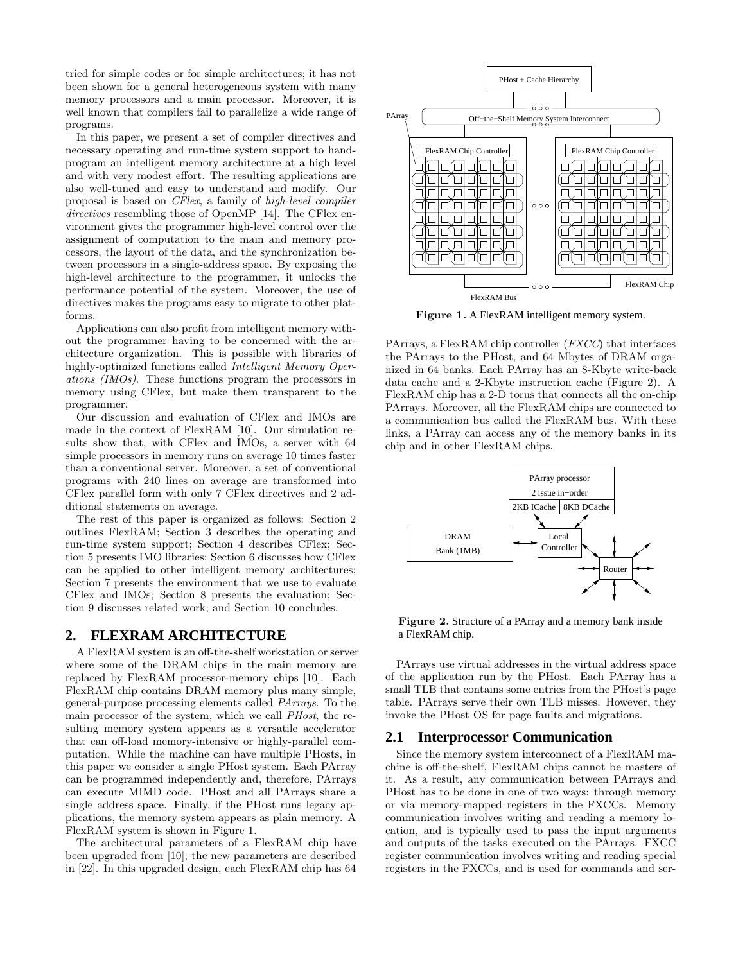tried for simple codes or for simple architectures; it has not been shown for a general heterogeneous system with many memory processors and a main processor. Moreover, it is well known that compilers fail to parallelize a wide range of programs.

In this paper, we present a set of compiler directives and necessary operating and run-time system support to handprogram an intelligent memory architecture at a high level and with very modest effort. The resulting applications are also well-tuned and easy to understand and modify. Our proposal is based on CFlex, a family of high-level compiler directives resembling those of OpenMP [14]. The CFlex environment gives the programmer high-level control over the assignment of computation to the main and memory processors, the layout of the data, and the synchronization between processors in a single-address space. By exposing the high-level architecture to the programmer, it unlocks the performance potential of the system. Moreover, the use of directives makes the programs easy to migrate to other platforms.

Applications can also profit from intelligent memory without the programmer having to be concerned with the architecture organization. This is possible with libraries of highly-optimized functions called Intelligent Memory Operations (IMOs). These functions program the processors in memory using CFlex, but make them transparent to the programmer.

Our discussion and evaluation of CFlex and IMOs are made in the context of FlexRAM [10]. Our simulation results show that, with CFlex and IMOs, a server with 64 simple processors in memory runs on average 10 times faster than a conventional server. Moreover, a set of conventional programs with 240 lines on average are transformed into CFlex parallel form with only 7 CFlex directives and 2 additional statements on average.

The rest of this paper is organized as follows: Section 2 outlines FlexRAM; Section 3 describes the operating and run-time system support; Section 4 describes CFlex; Section 5 presents IMO libraries; Section 6 discusses how CFlex can be applied to other intelligent memory architectures; Section 7 presents the environment that we use to evaluate CFlex and IMOs; Section 8 presents the evaluation; Section 9 discusses related work; and Section 10 concludes.

## **2. FLEXRAM ARCHITECTURE**

A FlexRAM system is an off-the-shelf workstation or server where some of the DRAM chips in the main memory are replaced by FlexRAM processor-memory chips [10]. Each FlexRAM chip contains DRAM memory plus many simple, general-purpose processing elements called PArrays. To the main processor of the system, which we call PHost, the resulting memory system appears as a versatile accelerator that can off-load memory-intensive or highly-parallel computation. While the machine can have multiple PHosts, in this paper we consider a single PHost system. Each PArray can be programmed independently and, therefore, PArrays can execute MIMD code. PHost and all PArrays share a single address space. Finally, if the PHost runs legacy applications, the memory system appears as plain memory. A FlexRAM system is shown in Figure 1.

The architectural parameters of a FlexRAM chip have been upgraded from [10]; the new parameters are described in [22]. In this upgraded design, each FlexRAM chip has 64



Figure 1. A FlexRAM intelligent memory system.

PArrays, a FlexRAM chip controller (FXCC) that interfaces the PArrays to the PHost, and 64 Mbytes of DRAM organized in 64 banks. Each PArray has an 8-Kbyte write-back data cache and a 2-Kbyte instruction cache (Figure 2). A FlexRAM chip has a 2-D torus that connects all the on-chip PArrays. Moreover, all the FlexRAM chips are connected to a communication bus called the FlexRAM bus. With these links, a PArray can access any of the memory banks in its chip and in other FlexRAM chips.



Figure 2. Structure of a PArray and a memory bank inside a FlexRAM chip.

PArrays use virtual addresses in the virtual address space of the application run by the PHost. Each PArray has a small TLB that contains some entries from the PHost's page table. PArrays serve their own TLB misses. However, they invoke the PHost OS for page faults and migrations.

#### **2.1 Interprocessor Communication**

Since the memory system interconnect of a FlexRAM machine is off-the-shelf, FlexRAM chips cannot be masters of it. As a result, any communication between PArrays and PHost has to be done in one of two ways: through memory or via memory-mapped registers in the FXCCs. Memory communication involves writing and reading a memory location, and is typically used to pass the input arguments and outputs of the tasks executed on the PArrays. FXCC register communication involves writing and reading special registers in the FXCCs, and is used for commands and ser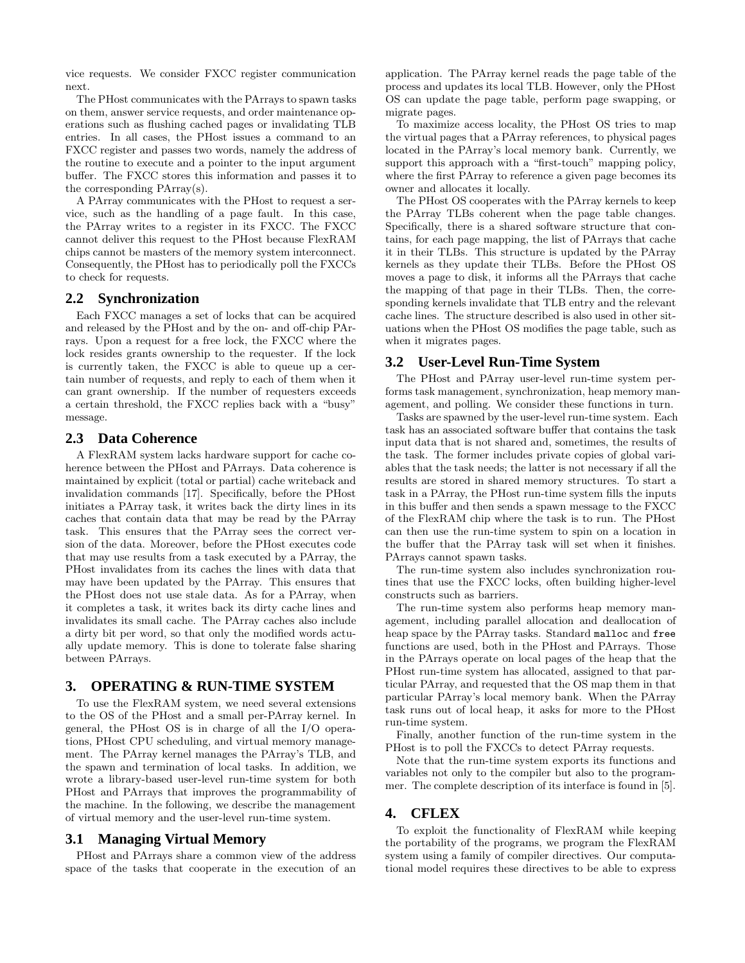vice requests. We consider FXCC register communication next.

The PHost communicates with the PArrays to spawn tasks on them, answer service requests, and order maintenance operations such as flushing cached pages or invalidating TLB entries. In all cases, the PHost issues a command to an FXCC register and passes two words, namely the address of the routine to execute and a pointer to the input argument buffer. The FXCC stores this information and passes it to the corresponding PArray(s).

A PArray communicates with the PHost to request a service, such as the handling of a page fault. In this case, the PArray writes to a register in its FXCC. The FXCC cannot deliver this request to the PHost because FlexRAM chips cannot be masters of the memory system interconnect. Consequently, the PHost has to periodically poll the FXCCs to check for requests.

## **2.2 Synchronization**

Each FXCC manages a set of locks that can be acquired and released by the PHost and by the on- and off-chip PArrays. Upon a request for a free lock, the FXCC where the lock resides grants ownership to the requester. If the lock is currently taken, the FXCC is able to queue up a certain number of requests, and reply to each of them when it can grant ownership. If the number of requesters exceeds a certain threshold, the FXCC replies back with a "busy" message.

#### **2.3 Data Coherence**

A FlexRAM system lacks hardware support for cache coherence between the PHost and PArrays. Data coherence is maintained by explicit (total or partial) cache writeback and invalidation commands [17]. Specifically, before the PHost initiates a PArray task, it writes back the dirty lines in its caches that contain data that may be read by the PArray task. This ensures that the PArray sees the correct version of the data. Moreover, before the PHost executes code that may use results from a task executed by a PArray, the PHost invalidates from its caches the lines with data that may have been updated by the PArray. This ensures that the PHost does not use stale data. As for a PArray, when it completes a task, it writes back its dirty cache lines and invalidates its small cache. The PArray caches also include a dirty bit per word, so that only the modified words actually update memory. This is done to tolerate false sharing between PArrays.

#### **3. OPERATING & RUN-TIME SYSTEM**

To use the FlexRAM system, we need several extensions to the OS of the PHost and a small per-PArray kernel. In general, the PHost OS is in charge of all the I/O operations, PHost CPU scheduling, and virtual memory management. The PArray kernel manages the PArray's TLB, and the spawn and termination of local tasks. In addition, we wrote a library-based user-level run-time system for both PHost and PArrays that improves the programmability of the machine. In the following, we describe the management of virtual memory and the user-level run-time system.

#### **3.1 Managing Virtual Memory**

PHost and PArrays share a common view of the address space of the tasks that cooperate in the execution of an application. The PArray kernel reads the page table of the process and updates its local TLB. However, only the PHost OS can update the page table, perform page swapping, or migrate pages.

To maximize access locality, the PHost OS tries to map the virtual pages that a PArray references, to physical pages located in the PArray's local memory bank. Currently, we support this approach with a "first-touch" mapping policy, where the first PArray to reference a given page becomes its owner and allocates it locally.

The PHost OS cooperates with the PArray kernels to keep the PArray TLBs coherent when the page table changes. Specifically, there is a shared software structure that contains, for each page mapping, the list of PArrays that cache it in their TLBs. This structure is updated by the PArray kernels as they update their TLBs. Before the PHost OS moves a page to disk, it informs all the PArrays that cache the mapping of that page in their TLBs. Then, the corresponding kernels invalidate that TLB entry and the relevant cache lines. The structure described is also used in other situations when the PHost OS modifies the page table, such as when it migrates pages.

#### **3.2 User-Level Run-Time System**

The PHost and PArray user-level run-time system performs task management, synchronization, heap memory management, and polling. We consider these functions in turn.

Tasks are spawned by the user-level run-time system. Each task has an associated software buffer that contains the task input data that is not shared and, sometimes, the results of the task. The former includes private copies of global variables that the task needs; the latter is not necessary if all the results are stored in shared memory structures. To start a task in a PArray, the PHost run-time system fills the inputs in this buffer and then sends a spawn message to the FXCC of the FlexRAM chip where the task is to run. The PHost can then use the run-time system to spin on a location in the buffer that the PArray task will set when it finishes. PArrays cannot spawn tasks.

The run-time system also includes synchronization routines that use the FXCC locks, often building higher-level constructs such as barriers.

The run-time system also performs heap memory management, including parallel allocation and deallocation of heap space by the PArray tasks. Standard malloc and free functions are used, both in the PHost and PArrays. Those in the PArrays operate on local pages of the heap that the PHost run-time system has allocated, assigned to that particular PArray, and requested that the OS map them in that particular PArray's local memory bank. When the PArray task runs out of local heap, it asks for more to the PHost run-time system.

Finally, another function of the run-time system in the PHost is to poll the FXCCs to detect PArray requests.

Note that the run-time system exports its functions and variables not only to the compiler but also to the programmer. The complete description of its interface is found in [5].

## **4. CFLEX**

To exploit the functionality of FlexRAM while keeping the portability of the programs, we program the FlexRAM system using a family of compiler directives. Our computational model requires these directives to be able to express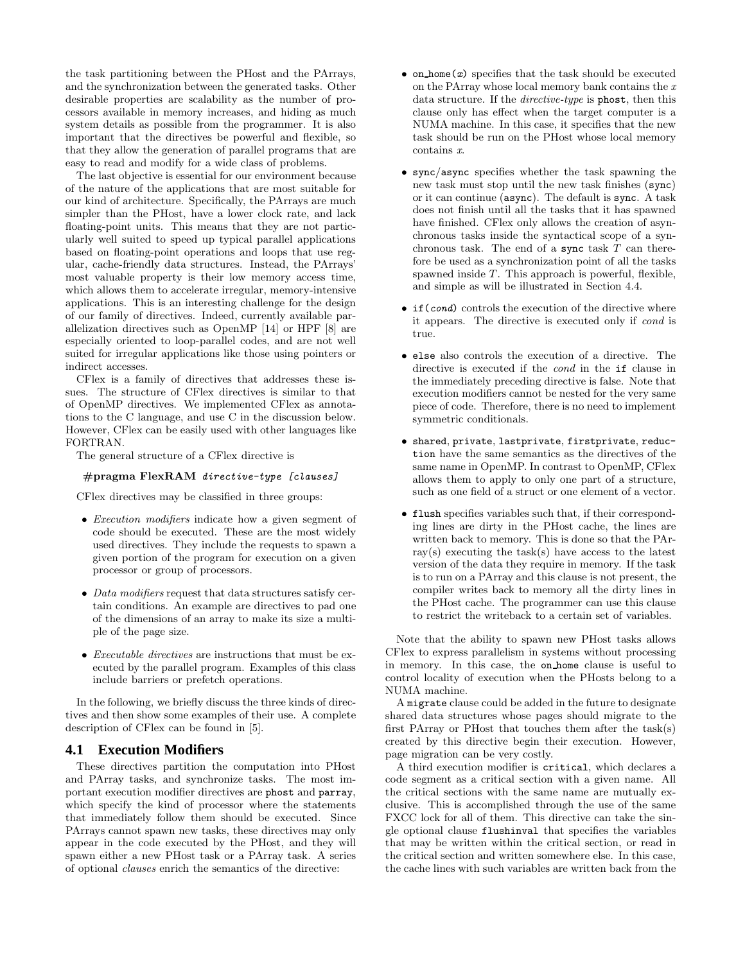the task partitioning between the PHost and the PArrays, and the synchronization between the generated tasks. Other desirable properties are scalability as the number of processors available in memory increases, and hiding as much system details as possible from the programmer. It is also important that the directives be powerful and flexible, so that they allow the generation of parallel programs that are easy to read and modify for a wide class of problems.

The last objective is essential for our environment because of the nature of the applications that are most suitable for our kind of architecture. Specifically, the PArrays are much simpler than the PHost, have a lower clock rate, and lack floating-point units. This means that they are not particularly well suited to speed up typical parallel applications based on floating-point operations and loops that use regular, cache-friendly data structures. Instead, the PArrays' most valuable property is their low memory access time, which allows them to accelerate irregular, memory-intensive applications. This is an interesting challenge for the design of our family of directives. Indeed, currently available parallelization directives such as OpenMP [14] or HPF [8] are especially oriented to loop-parallel codes, and are not well suited for irregular applications like those using pointers or indirect accesses.

CFlex is a family of directives that addresses these issues. The structure of CFlex directives is similar to that of OpenMP directives. We implemented CFlex as annotations to the C language, and use C in the discussion below. However, CFlex can be easily used with other languages like FORTRAN.

The general structure of a CFlex directive is

#### #pragma FlexRAM directive-type [clauses]

CFlex directives may be classified in three groups:

- *Execution modifiers* indicate how a given segment of code should be executed. These are the most widely used directives. They include the requests to spawn a given portion of the program for execution on a given processor or group of processors.
- Data modifiers request that data structures satisfy certain conditions. An example are directives to pad one of the dimensions of an array to make its size a multiple of the page size.
- Executable directives are instructions that must be executed by the parallel program. Examples of this class include barriers or prefetch operations.

In the following, we briefly discuss the three kinds of directives and then show some examples of their use. A complete description of CFlex can be found in [5].

#### **4.1 Execution Modifiers**

These directives partition the computation into PHost and PArray tasks, and synchronize tasks. The most important execution modifier directives are phost and parray, which specify the kind of processor where the statements that immediately follow them should be executed. Since PArrays cannot spawn new tasks, these directives may only appear in the code executed by the PHost, and they will spawn either a new PHost task or a PArray task. A series of optional clauses enrich the semantics of the directive:

- on home $(x)$  specifies that the task should be executed on the PArray whose local memory bank contains the  $x$ data structure. If the directive-type is phost, then this clause only has effect when the target computer is a NUMA machine. In this case, it specifies that the new task should be run on the PHost whose local memory contains x.
- sync/async specifies whether the task spawning the new task must stop until the new task finishes (sync) or it can continue (async). The default is sync. A task does not finish until all the tasks that it has spawned have finished. CFlex only allows the creation of asynchronous tasks inside the syntactical scope of a synchronous task. The end of a sync task  $T$  can therefore be used as a synchronization point of all the tasks spawned inside  $T$ . This approach is powerful, flexible, and simple as will be illustrated in Section 4.4.
- if (cond) controls the execution of the directive where it appears. The directive is executed only if cond is true.
- else also controls the execution of a directive. The directive is executed if the cond in the if clause in the immediately preceding directive is false. Note that execution modifiers cannot be nested for the very same piece of code. Therefore, there is no need to implement symmetric conditionals.
- shared, private, lastprivate, firstprivate, reduction have the same semantics as the directives of the same name in OpenMP. In contrast to OpenMP, CFlex allows them to apply to only one part of a structure, such as one field of a struct or one element of a vector.
- flush specifies variables such that, if their corresponding lines are dirty in the PHost cache, the lines are written back to memory. This is done so that the PArray(s) executing the  $task(s)$  have access to the latest version of the data they require in memory. If the task is to run on a PArray and this clause is not present, the compiler writes back to memory all the dirty lines in the PHost cache. The programmer can use this clause to restrict the writeback to a certain set of variables.

Note that the ability to spawn new PHost tasks allows CFlex to express parallelism in systems without processing in memory. In this case, the on home clause is useful to control locality of execution when the PHosts belong to a NUMA machine.

A migrate clause could be added in the future to designate shared data structures whose pages should migrate to the first PArray or PHost that touches them after the task(s) created by this directive begin their execution. However, page migration can be very costly.

A third execution modifier is critical, which declares a code segment as a critical section with a given name. All the critical sections with the same name are mutually exclusive. This is accomplished through the use of the same FXCC lock for all of them. This directive can take the single optional clause flushinval that specifies the variables that may be written within the critical section, or read in the critical section and written somewhere else. In this case, the cache lines with such variables are written back from the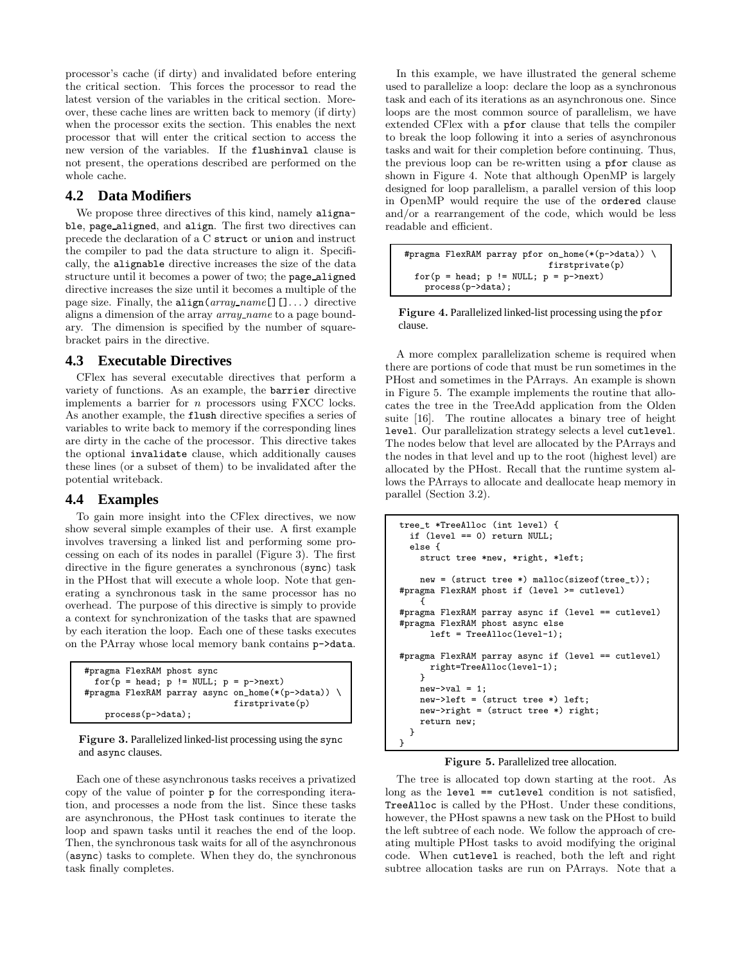processor's cache (if dirty) and invalidated before entering the critical section. This forces the processor to read the latest version of the variables in the critical section. Moreover, these cache lines are written back to memory (if dirty) when the processor exits the section. This enables the next processor that will enter the critical section to access the new version of the variables. If the flushinval clause is not present, the operations described are performed on the whole cache.

## **4.2 Data Modifiers**

We propose three directives of this kind, namely alignable, page aligned, and align. The first two directives can precede the declaration of a C struct or union and instruct the compiler to pad the data structure to align it. Specifically, the alignable directive increases the size of the data structure until it becomes a power of two; the page aligned directive increases the size until it becomes a multiple of the page size. Finally, the  $align(array\_name[]'. . . )$  directive aligns a dimension of the array array name to a page boundary. The dimension is specified by the number of squarebracket pairs in the directive.

#### **4.3 Executable Directives**

CFlex has several executable directives that perform a variety of functions. As an example, the barrier directive implements a barrier for n processors using FXCC locks. As another example, the **flush** directive specifies a series of variables to write back to memory if the corresponding lines are dirty in the cache of the processor. This directive takes the optional invalidate clause, which additionally causes these lines (or a subset of them) to be invalidated after the potential writeback.

#### **4.4 Examples**

To gain more insight into the CFlex directives, we now show several simple examples of their use. A first example involves traversing a linked list and performing some processing on each of its nodes in parallel (Figure 3). The first directive in the figure generates a synchronous (sync) task in the PHost that will execute a whole loop. Note that generating a synchronous task in the same processor has no overhead. The purpose of this directive is simply to provide a context for synchronization of the tasks that are spawned by each iteration the loop. Each one of these tasks executes on the PArray whose local memory bank contains p->data.

```
#pragma FlexRAM phost sync
 for(p = head; p != NULL; p = p->next)#pragma FlexRAM parray async on_home(*(p->data)) \
                             firstprivate(p)
   process(p->data);
```
Figure 3. Parallelized linked-list processing using the sync and async clauses.

Each one of these asynchronous tasks receives a privatized copy of the value of pointer p for the corresponding iteration, and processes a node from the list. Since these tasks are asynchronous, the PHost task continues to iterate the loop and spawn tasks until it reaches the end of the loop. Then, the synchronous task waits for all of the asynchronous (async) tasks to complete. When they do, the synchronous task finally completes.

In this example, we have illustrated the general scheme used to parallelize a loop: declare the loop as a synchronous task and each of its iterations as an asynchronous one. Since loops are the most common source of parallelism, we have extended CFlex with a pfor clause that tells the compiler to break the loop following it into a series of asynchronous tasks and wait for their completion before continuing. Thus, the previous loop can be re-written using a pfor clause as shown in Figure 4. Note that although OpenMP is largely designed for loop parallelism, a parallel version of this loop in OpenMP would require the use of the ordered clause and/or a rearrangement of the code, which would be less readable and efficient.

```
#pragma FlexRAM parray pfor on_home(*(p->data)) \
                              firstprivate(p)
  for(p = head; p := NULL; p = p-\text{next})
    process(p->data);
```
Figure 4. Parallelized linked-list processing using the pfor clause.

A more complex parallelization scheme is required when there are portions of code that must be run sometimes in the PHost and sometimes in the PArrays. An example is shown in Figure 5. The example implements the routine that allocates the tree in the TreeAdd application from the Olden suite [16]. The routine allocates a binary tree of height level. Our parallelization strategy selects a level cutlevel. The nodes below that level are allocated by the PArrays and the nodes in that level and up to the root (highest level) are allocated by the PHost. Recall that the runtime system allows the PArrays to allocate and deallocate heap memory in parallel (Section 3.2).

```
tree_t *TreeAlloc (int level) {
  if (level == 0) return NULL;
  else {
    struct tree *new, *right, *left;
    new = (struct tree *) malloc(sizeof(tree_t));
#pragma FlexRAM phost if (level >= cutlevel)
    {
#pragma FlexRAM parray async if (level == cutlevel)
#pragma FlexRAM phost async else
      left = TreeAlloc(level-1);
#pragma FlexRAM parray async if (level == cutlevel)
      right=TreeAlloc(level-1);
    }
    new-val = 1:
    new->left = (struct tree *) left;
    new->right = (struct tree *) right;
    return new;
  }
}
```
#### Figure 5. Parallelized tree allocation.

The tree is allocated top down starting at the root. As long as the level == cutlevel condition is not satisfied, TreeAlloc is called by the PHost. Under these conditions, however, the PHost spawns a new task on the PHost to build the left subtree of each node. We follow the approach of creating multiple PHost tasks to avoid modifying the original code. When cutlevel is reached, both the left and right subtree allocation tasks are run on PArrays. Note that a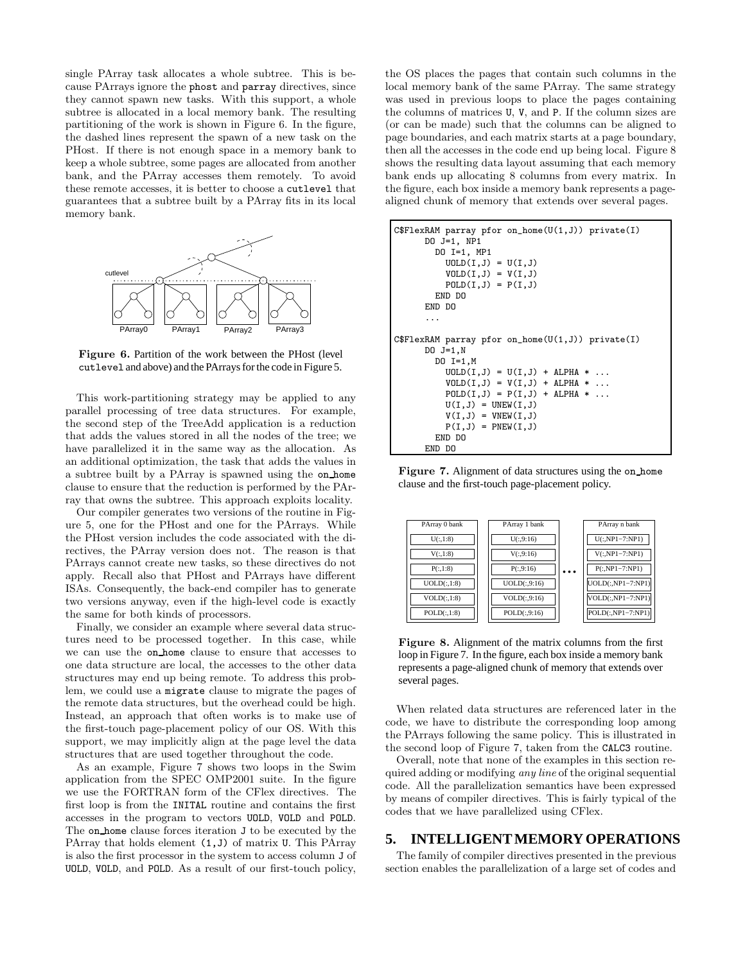single PArray task allocates a whole subtree. This is because PArrays ignore the phost and parray directives, since they cannot spawn new tasks. With this support, a whole subtree is allocated in a local memory bank. The resulting partitioning of the work is shown in Figure 6. In the figure, the dashed lines represent the spawn of a new task on the PHost. If there is not enough space in a memory bank to keep a whole subtree, some pages are allocated from another bank, and the PArray accesses them remotely. To avoid these remote accesses, it is better to choose a cutlevel that guarantees that a subtree built by a PArray fits in its local memory bank.



Figure 6. Partition of the work between the PHost (level cutlevel and above) and the PArraysforthe code in Figure 5.

This work-partitioning strategy may be applied to any parallel processing of tree data structures. For example, the second step of the TreeAdd application is a reduction that adds the values stored in all the nodes of the tree; we have parallelized it in the same way as the allocation. As an additional optimization, the task that adds the values in a subtree built by a PArray is spawned using the on home clause to ensure that the reduction is performed by the PArray that owns the subtree. This approach exploits locality.

Our compiler generates two versions of the routine in Figure 5, one for the PHost and one for the PArrays. While the PHost version includes the code associated with the directives, the PArray version does not. The reason is that PArrays cannot create new tasks, so these directives do not apply. Recall also that PHost and PArrays have different ISAs. Consequently, the back-end compiler has to generate two versions anyway, even if the high-level code is exactly the same for both kinds of processors.

Finally, we consider an example where several data structures need to be processed together. In this case, while we can use the on home clause to ensure that accesses to one data structure are local, the accesses to the other data structures may end up being remote. To address this problem, we could use a migrate clause to migrate the pages of the remote data structures, but the overhead could be high. Instead, an approach that often works is to make use of the first-touch page-placement policy of our OS. With this support, we may implicitly align at the page level the data structures that are used together throughout the code.

As an example, Figure 7 shows two loops in the Swim application from the SPEC OMP2001 suite. In the figure we use the FORTRAN form of the CFlex directives. The first loop is from the INITAL routine and contains the first accesses in the program to vectors UOLD, VOLD and POLD. The on home clause forces iteration J to be executed by the PArray that holds element (1,J) of matrix U. This PArray is also the first processor in the system to access column J of UOLD, VOLD, and POLD. As a result of our first-touch policy,

the OS places the pages that contain such columns in the local memory bank of the same PArray. The same strategy was used in previous loops to place the pages containing the columns of matrices U, V, and P. If the column sizes are (or can be made) such that the columns can be aligned to page boundaries, and each matrix starts at a page boundary, then all the accesses in the code end up being local. Figure 8 shows the resulting data layout assuming that each memory bank ends up allocating 8 columns from every matrix. In the figure, each box inside a memory bank represents a pagealigned chunk of memory that extends over several pages.

```
C$FlexRAM parray pfor on_home(U(1,J)) private(I)
      DO J=1, NP1
       DO I=1, MP1
          UOLD(I, J) = U(I, J)VOLD(I,J) = V(I,J)POLD(I, J) = P(I, J)END DO
      END DO
      ...
C$FlexRAM parray pfor on_home(U(1,J)) private(I)
      DO J=1,N
       DDT=1 M
          UOLD(I,J) = U(I,J) + ALPHA * ...VOLD(I,J) = V(I,J) + ALPHA * ...POLD(I,J) = P(I,J) + ALPHA * ...U(I,J) = UNEW(I,J)V(I,J) = VNEW(I,J)P(I,J) = PNEW(I,J)END DO
      END DO
```
Figure 7. Alignment of data structures using the on home clause and the first-touch page-placement policy.



Figure 8. Alignment of the matrix columns from the first loop in Figure 7. In the figure, each box inside a memory bank represents a page-aligned chunk of memory that extends over several pages.

When related data structures are referenced later in the code, we have to distribute the corresponding loop among the PArrays following the same policy. This is illustrated in the second loop of Figure 7, taken from the CALC3 routine.

Overall, note that none of the examples in this section required adding or modifying any line of the original sequential code. All the parallelization semantics have been expressed by means of compiler directives. This is fairly typical of the codes that we have parallelized using CFlex.

## **5. INTELLIGENTMEMORYOPERATIONS**

The family of compiler directives presented in the previous section enables the parallelization of a large set of codes and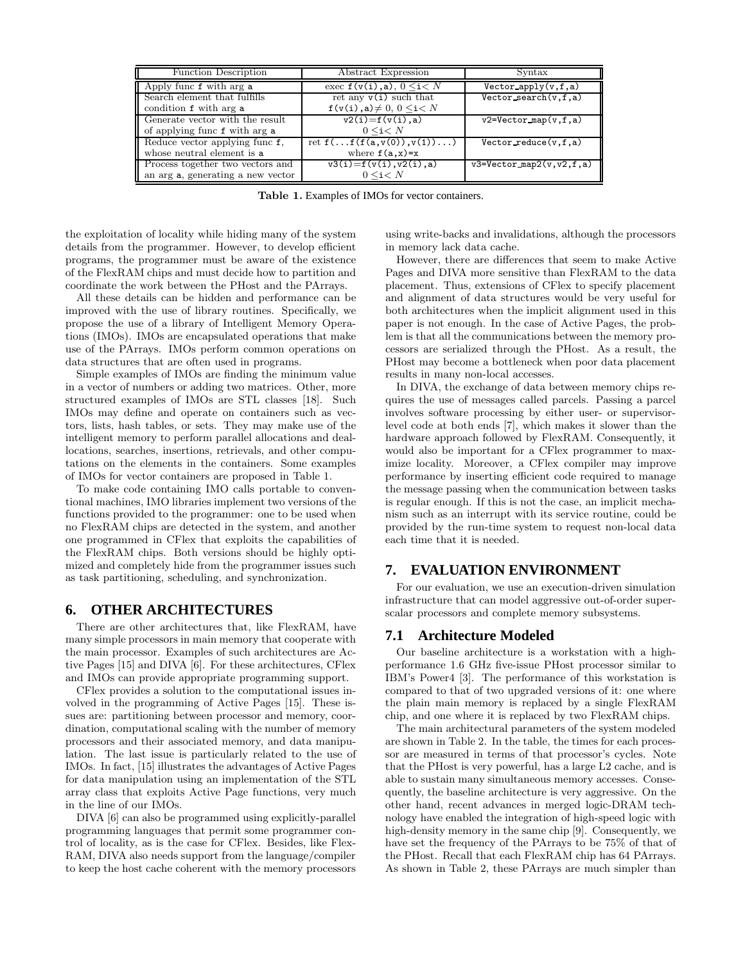| <b>Function Description</b>       | Abstract Expression                         | Syntax                        |
|-----------------------------------|---------------------------------------------|-------------------------------|
| Apply func f with arg a           | exec $f(v(i), a)$ , $0 \le i \le N$         | Vector $apply(v, f, a)$       |
| Search element that fulfills      | ret any $v(i)$ such that                    | $Vector\_search(v, f, a)$     |
| condition f with arg a            | $f(v(i), a) \neq 0, 0 \le i \le N$          |                               |
| Generate vector with the result   | $v2(i)=f(v(i),a)$                           | $v2=Vector map(v, f, a)$      |
| of applying func f with arg a     | $0 \leq i \leq N$                           |                               |
| Reduce vector applying func f,    | ret $f(\ldots, f(f(a,v(0)), v(1)), \ldots)$ | Vector reduce $(v, f, a)$     |
| whose neutral element is a        | where $f(a,x)=x$                            |                               |
| Process together two vectors and  | $v3(i)=f(v(i), v2(i), a)$                   | $v3=Vector map2(v, v2, f, a)$ |
| an arg a, generating a new vector | $0 \le i \le N$                             |                               |

Table 1. Examples of IMOs for vector containers.

the exploitation of locality while hiding many of the system details from the programmer. However, to develop efficient programs, the programmer must be aware of the existence of the FlexRAM chips and must decide how to partition and coordinate the work between the PHost and the PArrays.

All these details can be hidden and performance can be improved with the use of library routines. Specifically, we propose the use of a library of Intelligent Memory Operations (IMOs). IMOs are encapsulated operations that make use of the PArrays. IMOs perform common operations on data structures that are often used in programs.

Simple examples of IMOs are finding the minimum value in a vector of numbers or adding two matrices. Other, more structured examples of IMOs are STL classes [18]. Such IMOs may define and operate on containers such as vectors, lists, hash tables, or sets. They may make use of the intelligent memory to perform parallel allocations and deallocations, searches, insertions, retrievals, and other computations on the elements in the containers. Some examples of IMOs for vector containers are proposed in Table 1.

To make code containing IMO calls portable to conventional machines, IMO libraries implement two versions of the functions provided to the programmer: one to be used when no FlexRAM chips are detected in the system, and another one programmed in CFlex that exploits the capabilities of the FlexRAM chips. Both versions should be highly optimized and completely hide from the programmer issues such as task partitioning, scheduling, and synchronization.

## **6. OTHER ARCHITECTURES**

There are other architectures that, like FlexRAM, have many simple processors in main memory that cooperate with the main processor. Examples of such architectures are Active Pages [15] and DIVA [6]. For these architectures, CFlex and IMOs can provide appropriate programming support.

CFlex provides a solution to the computational issues involved in the programming of Active Pages [15]. These issues are: partitioning between processor and memory, coordination, computational scaling with the number of memory processors and their associated memory, and data manipulation. The last issue is particularly related to the use of IMOs. In fact, [15] illustrates the advantages of Active Pages for data manipulation using an implementation of the STL array class that exploits Active Page functions, very much in the line of our IMOs.

DIVA [6] can also be programmed using explicitly-parallel programming languages that permit some programmer control of locality, as is the case for CFlex. Besides, like Flex-RAM, DIVA also needs support from the language/compiler to keep the host cache coherent with the memory processors using write-backs and invalidations, although the processors in memory lack data cache.

However, there are differences that seem to make Active Pages and DIVA more sensitive than FlexRAM to the data placement. Thus, extensions of CFlex to specify placement and alignment of data structures would be very useful for both architectures when the implicit alignment used in this paper is not enough. In the case of Active Pages, the problem is that all the communications between the memory processors are serialized through the PHost. As a result, the PHost may become a bottleneck when poor data placement results in many non-local accesses.

In DIVA, the exchange of data between memory chips requires the use of messages called parcels. Passing a parcel involves software processing by either user- or supervisorlevel code at both ends [7], which makes it slower than the hardware approach followed by FlexRAM. Consequently, it would also be important for a CFlex programmer to maximize locality. Moreover, a CFlex compiler may improve performance by inserting efficient code required to manage the message passing when the communication between tasks is regular enough. If this is not the case, an implicit mechanism such as an interrupt with its service routine, could be provided by the run-time system to request non-local data each time that it is needed.

## **7. EVALUATION ENVIRONMENT**

For our evaluation, we use an execution-driven simulation infrastructure that can model aggressive out-of-order superscalar processors and complete memory subsystems.

## **7.1 Architecture Modeled**

Our baseline architecture is a workstation with a highperformance 1.6 GHz five-issue PHost processor similar to IBM's Power4 [3]. The performance of this workstation is compared to that of two upgraded versions of it: one where the plain main memory is replaced by a single FlexRAM chip, and one where it is replaced by two FlexRAM chips.

The main architectural parameters of the system modeled are shown in Table 2. In the table, the times for each processor are measured in terms of that processor's cycles. Note that the PHost is very powerful, has a large L2 cache, and is able to sustain many simultaneous memory accesses. Consequently, the baseline architecture is very aggressive. On the other hand, recent advances in merged logic-DRAM technology have enabled the integration of high-speed logic with high-density memory in the same chip [9]. Consequently, we have set the frequency of the PArrays to be 75% of that of the PHost. Recall that each FlexRAM chip has 64 PArrays. As shown in Table 2, these PArrays are much simpler than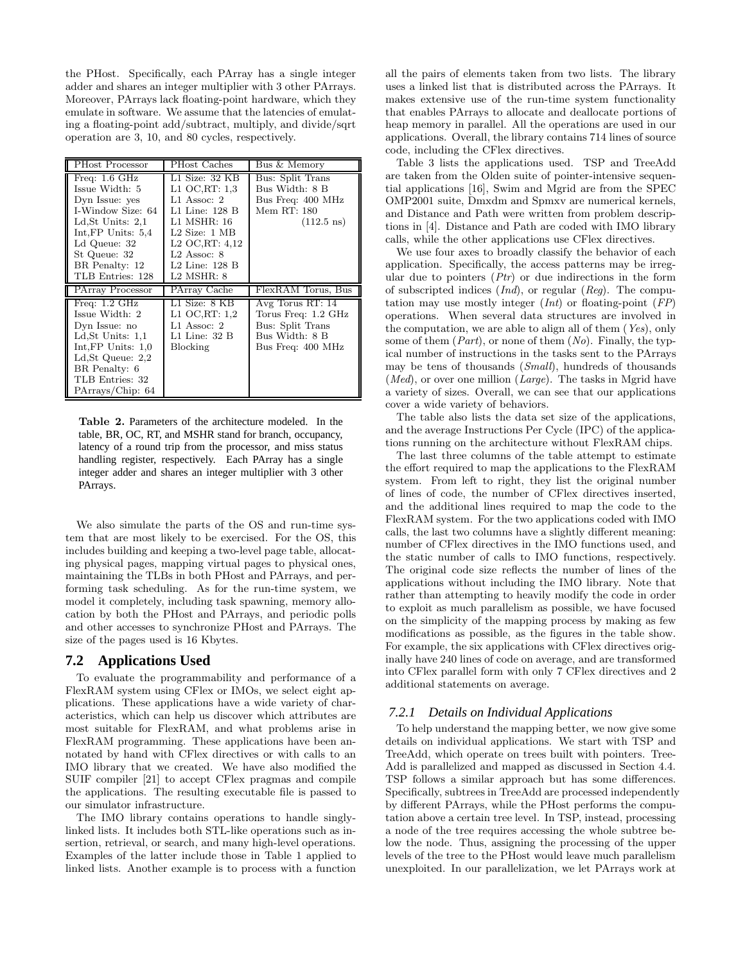the PHost. Specifically, each PArray has a single integer adder and shares an integer multiplier with 3 other PArrays. Moreover, PArrays lack floating-point hardware, which they emulate in software. We assume that the latencies of emulating a floating-point add/subtract, multiply, and divide/sqrt operation are 3, 10, and 80 cycles, respectively.

| <b>PHost Processor</b>                                                                                                                                                                        | PHost Caches                                                                                                                                                                          | Bus & Memory                                                                                       |
|-----------------------------------------------------------------------------------------------------------------------------------------------------------------------------------------------|---------------------------------------------------------------------------------------------------------------------------------------------------------------------------------------|----------------------------------------------------------------------------------------------------|
| Freq: 1.6 GHz<br>Issue Width: 5<br>Dyn Issue: yes<br>I-Window Size: 64<br>Ld, St Units: $2.1$<br>Int, $FP$ Units: $5.4$<br>Ld Queue: 32<br>St Queue: 32<br>BR Penalty: 12<br>TLB Entries: 128 | L1 Size: 32 KB<br>L1 OC, RT: 1,3<br>L1 Assoc: $2$<br>L1 Line: 128 B<br>L1 MSHR: 16<br>$L2$ Size: 1 MB<br>L2 OC.RT: 4.12<br>L2 Assoc: $8$<br>L2 Line: $128B$<br>L <sub>2</sub> MSHR: 8 | Bus: Split Trans<br>Bus Width: 8 B<br>Bus Freq: 400 MHz<br>Mem RT: 180<br>$(112.5 \text{ ns})$     |
| PArray Processor                                                                                                                                                                              | PArray Cache                                                                                                                                                                          | FlexRAM Torus, Bus                                                                                 |
| Freq: $1.2 \text{ GHz}$<br>Issue Width: 2<br>Dyn Issue: no<br>Ld.St Units: 1,1<br>Int, $FP$ Units: $1.0$<br>Ld, St Queue: 2,2<br>BR Penalty: 6<br>TLB Entries: 32<br>PArrays/Chip: 64         | L1 Size: 8 KB<br>L1 OC.RT: 1.2<br>L1 Assoc: 2<br>$L1$ Line: 32 B<br>Blocking                                                                                                          | Avg Torus RT: 14<br>Torus Freq: 1.2 GHz<br>Bus: Split Trans<br>Bus Width: 8 B<br>Bus Freq: 400 MHz |

Table 2. Parameters of the architecture modeled. In the table, BR, OC, RT, and MSHR stand for branch, occupancy, latency of a round trip from the processor, and miss status handling register, respectively. Each PArray has a single integer adder and shares an integer multiplier with 3 other PArrays.

We also simulate the parts of the OS and run-time system that are most likely to be exercised. For the OS, this includes building and keeping a two-level page table, allocating physical pages, mapping virtual pages to physical ones, maintaining the TLBs in both PHost and PArrays, and performing task scheduling. As for the run-time system, we model it completely, including task spawning, memory allocation by both the PHost and PArrays, and periodic polls and other accesses to synchronize PHost and PArrays. The size of the pages used is 16 Kbytes.

## **7.2 Applications Used**

To evaluate the programmability and performance of a FlexRAM system using CFlex or IMOs, we select eight applications. These applications have a wide variety of characteristics, which can help us discover which attributes are most suitable for FlexRAM, and what problems arise in FlexRAM programming. These applications have been annotated by hand with CFlex directives or with calls to an IMO library that we created. We have also modified the SUIF compiler [21] to accept CFlex pragmas and compile the applications. The resulting executable file is passed to our simulator infrastructure.

The IMO library contains operations to handle singlylinked lists. It includes both STL-like operations such as insertion, retrieval, or search, and many high-level operations. Examples of the latter include those in Table 1 applied to linked lists. Another example is to process with a function all the pairs of elements taken from two lists. The library uses a linked list that is distributed across the PArrays. It makes extensive use of the run-time system functionality that enables PArrays to allocate and deallocate portions of heap memory in parallel. All the operations are used in our applications. Overall, the library contains 714 lines of source code, including the CFlex directives.

Table 3 lists the applications used. TSP and TreeAdd are taken from the Olden suite of pointer-intensive sequential applications [16], Swim and Mgrid are from the SPEC OMP2001 suite, Dmxdm and Spmxv are numerical kernels, and Distance and Path were written from problem descriptions in [4]. Distance and Path are coded with IMO library calls, while the other applications use CFlex directives.

We use four axes to broadly classify the behavior of each application. Specifically, the access patterns may be irregular due to pointers  $(Ptr)$  or due indirections in the form of subscripted indices  $(Ind)$ , or regular  $(Reg)$ . The computation may use mostly integer  $(Int)$  or floating-point  $(FP)$ operations. When several data structures are involved in the computation, we are able to align all of them (Yes), only some of them  $(Part)$ , or none of them  $(No)$ . Finally, the typical number of instructions in the tasks sent to the PArrays may be tens of thousands (Small), hundreds of thousands  $(Med)$ , or over one million  $(Large)$ . The tasks in Mgrid have a variety of sizes. Overall, we can see that our applications cover a wide variety of behaviors.

The table also lists the data set size of the applications, and the average Instructions Per Cycle (IPC) of the applications running on the architecture without FlexRAM chips.

The last three columns of the table attempt to estimate the effort required to map the applications to the FlexRAM system. From left to right, they list the original number of lines of code, the number of CFlex directives inserted, and the additional lines required to map the code to the FlexRAM system. For the two applications coded with IMO calls, the last two columns have a slightly different meaning: number of CFlex directives in the IMO functions used, and the static number of calls to IMO functions, respectively. The original code size reflects the number of lines of the applications without including the IMO library. Note that rather than attempting to heavily modify the code in order to exploit as much parallelism as possible, we have focused on the simplicity of the mapping process by making as few modifications as possible, as the figures in the table show. For example, the six applications with CFlex directives originally have 240 lines of code on average, and are transformed into CFlex parallel form with only 7 CFlex directives and 2 additional statements on average.

## *7.2.1 Details on Individual Applications*

To help understand the mapping better, we now give some details on individual applications. We start with TSP and TreeAdd, which operate on trees built with pointers. Tree-Add is parallelized and mapped as discussed in Section 4.4. TSP follows a similar approach but has some differences. Specifically, subtrees in TreeAdd are processed independently by different PArrays, while the PHost performs the computation above a certain tree level. In TSP, instead, processing a node of the tree requires accessing the whole subtree below the node. Thus, assigning the processing of the upper levels of the tree to the PHost would leave much parallelism unexploited. In our parallelization, we let PArrays work at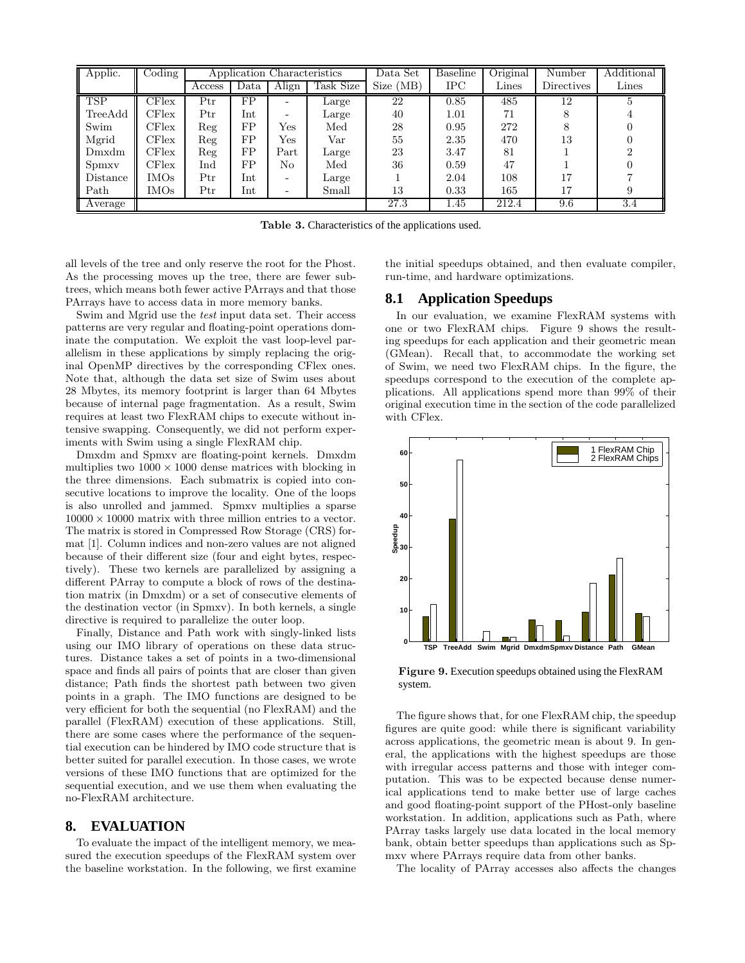| Applic.    | $\overline{\text{Coding}}$ | Application Characteristics |              |                                                                                                  |           | Data Set  | <b>Baseline</b> | Original       | Number     | Additional |
|------------|----------------------------|-----------------------------|--------------|--------------------------------------------------------------------------------------------------|-----------|-----------|-----------------|----------------|------------|------------|
|            |                            | Access                      | Data         | Align                                                                                            | Task Size | Size (MB) | $_{\rm IPC}$    | $_{\rm Lines}$ | Directives | Lines      |
| <b>TSP</b> | CFlex                      | $_{\rm Ptr}$                | FP           | $\overline{\phantom{0}}$                                                                         | Large     | 22        | 0.85            | 485            | 12         | 5.         |
| TreeAdd    | CFlex                      | $_{\rm Ptr}$                | $_{\rm Int}$ |                                                                                                  | Large     | 40        | 1.01            | 71             |            |            |
| Swim       | CFlex                      | Reg                         | FP           | Yes                                                                                              | Med       | 28        | 0.95            | 272            |            | 0          |
| Mgrid      | CFlex                      | Reg                         | FP           | Yes                                                                                              | Var       | 55        | 2.35            | 470            | 13         |            |
| Dmxdm      | CFlex                      | Reg                         | FP           | $\operatorname*{Part}% \left( X\right) \equiv\operatorname*{Part}\left( X\right) , \label{1.1}%$ | Large     | 23        | 3.47            | 81             |            |            |
| Spmxy      | CFlex                      | $_{\mathrm{Ind}}$           | FP           | No                                                                                               | Med       | 36        | 0.59            | 47             |            | $\theta$   |
| Distance   | <b>IMOs</b>                | $_{\rm Ptr}$                | $_{\rm Int}$ | $\overline{\phantom{0}}$                                                                         | Large     |           | 2.04            | 108            | 17         |            |
| Path       | <b>IMOs</b>                | Ptr                         | $_{\rm Int}$ | $\overline{\phantom{a}}$                                                                         | Small     | 13        | 0.33            | 165            | 17         | 9          |
| Average    |                            |                             |              |                                                                                                  |           | 27.3      | 1.45            | 212.4          | 9.6        | 3.4        |

Table 3. Characteristics of the applications used.

all levels of the tree and only reserve the root for the Phost. As the processing moves up the tree, there are fewer subtrees, which means both fewer active PArrays and that those PArrays have to access data in more memory banks.

Swim and Mgrid use the *test* input data set. Their access patterns are very regular and floating-point operations dominate the computation. We exploit the vast loop-level parallelism in these applications by simply replacing the original OpenMP directives by the corresponding CFlex ones. Note that, although the data set size of Swim uses about 28 Mbytes, its memory footprint is larger than 64 Mbytes because of internal page fragmentation. As a result, Swim requires at least two FlexRAM chips to execute without intensive swapping. Consequently, we did not perform experiments with Swim using a single FlexRAM chip.

Dmxdm and Spmxv are floating-point kernels. Dmxdm multiplies two  $1000 \times 1000$  dense matrices with blocking in the three dimensions. Each submatrix is copied into consecutive locations to improve the locality. One of the loops is also unrolled and jammed. Spmxv multiplies a sparse  $10000 \times 10000$  matrix with three million entries to a vector. The matrix is stored in Compressed Row Storage (CRS) format [1]. Column indices and non-zero values are not aligned because of their different size (four and eight bytes, respectively). These two kernels are parallelized by assigning a different PArray to compute a block of rows of the destination matrix (in Dmxdm) or a set of consecutive elements of the destination vector (in Spmxv). In both kernels, a single directive is required to parallelize the outer loop.

Finally, Distance and Path work with singly-linked lists using our IMO library of operations on these data structures. Distance takes a set of points in a two-dimensional space and finds all pairs of points that are closer than given distance; Path finds the shortest path between two given points in a graph. The IMO functions are designed to be very efficient for both the sequential (no FlexRAM) and the parallel (FlexRAM) execution of these applications. Still, there are some cases where the performance of the sequential execution can be hindered by IMO code structure that is better suited for parallel execution. In those cases, we wrote versions of these IMO functions that are optimized for the sequential execution, and we use them when evaluating the no-FlexRAM architecture.

## **8. EVALUATION**

To evaluate the impact of the intelligent memory, we measured the execution speedups of the FlexRAM system over the baseline workstation. In the following, we first examine the initial speedups obtained, and then evaluate compiler, run-time, and hardware optimizations.

## **8.1 Application Speedups**

In our evaluation, we examine FlexRAM systems with one or two FlexRAM chips. Figure 9 shows the resulting speedups for each application and their geometric mean (GMean). Recall that, to accommodate the working set of Swim, we need two FlexRAM chips. In the figure, the speedups correspond to the execution of the complete applications. All applications spend more than 99% of their original execution time in the section of the code parallelized with CFlex.



Figure 9. Execution speedups obtained using the FlexRAM system.

The figure shows that, for one FlexRAM chip, the speedup figures are quite good: while there is significant variability across applications, the geometric mean is about 9. In general, the applications with the highest speedups are those with irregular access patterns and those with integer computation. This was to be expected because dense numerical applications tend to make better use of large caches and good floating-point support of the PHost-only baseline workstation. In addition, applications such as Path, where PArray tasks largely use data located in the local memory bank, obtain better speedups than applications such as Spmxv where PArrays require data from other banks.

The locality of PArray accesses also affects the changes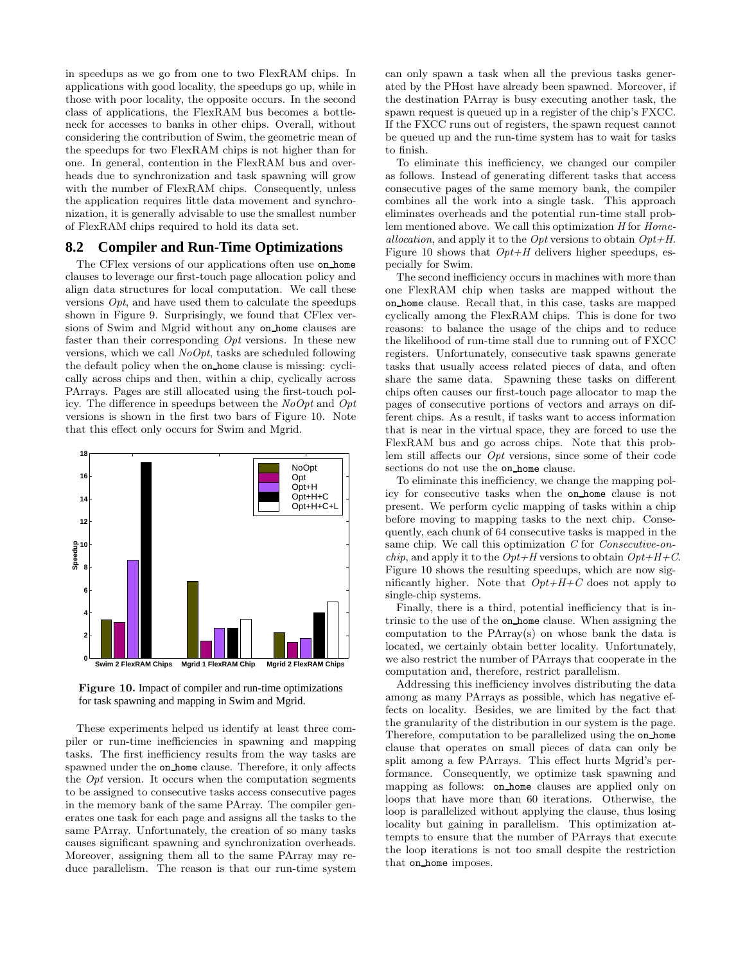in speedups as we go from one to two FlexRAM chips. In applications with good locality, the speedups go up, while in those with poor locality, the opposite occurs. In the second class of applications, the FlexRAM bus becomes a bottleneck for accesses to banks in other chips. Overall, without considering the contribution of Swim, the geometric mean of the speedups for two FlexRAM chips is not higher than for one. In general, contention in the FlexRAM bus and overheads due to synchronization and task spawning will grow with the number of FlexRAM chips. Consequently, unless the application requires little data movement and synchronization, it is generally advisable to use the smallest number of FlexRAM chips required to hold its data set.

## **8.2 Compiler and Run-Time Optimizations**

The CFlex versions of our applications often use on home clauses to leverage our first-touch page allocation policy and align data structures for local computation. We call these versions  $Opt$ , and have used them to calculate the speedups shown in Figure 9. Surprisingly, we found that CFlex versions of Swim and Mgrid without any on home clauses are faster than their corresponding Opt versions. In these new versions, which we call  $NoOpt$ , tasks are scheduled following the default policy when the on home clause is missing: cyclically across chips and then, within a chip, cyclically across PArrays. Pages are still allocated using the first-touch policy. The difference in speedups between the  $NoOpt$  and  $Opt$ versions is shown in the first two bars of Figure 10. Note that this effect only occurs for Swim and Mgrid.



Figure 10. Impact of compiler and run-time optimizations for task spawning and mapping in Swim and Mgrid.

These experiments helped us identify at least three compiler or run-time inefficiencies in spawning and mapping tasks. The first inefficiency results from the way tasks are spawned under the on home clause. Therefore, it only affects the  $Opt$  version. It occurs when the computation segments to be assigned to consecutive tasks access consecutive pages in the memory bank of the same PArray. The compiler generates one task for each page and assigns all the tasks to the same PArray. Unfortunately, the creation of so many tasks causes significant spawning and synchronization overheads. Moreover, assigning them all to the same PArray may reduce parallelism. The reason is that our run-time system can only spawn a task when all the previous tasks generated by the PHost have already been spawned. Moreover, if the destination PArray is busy executing another task, the spawn request is queued up in a register of the chip's FXCC. If the FXCC runs out of registers, the spawn request cannot be queued up and the run-time system has to wait for tasks to finish.

To eliminate this inefficiency, we changed our compiler as follows. Instead of generating different tasks that access consecutive pages of the same memory bank, the compiler combines all the work into a single task. This approach eliminates overheads and the potential run-time stall problem mentioned above. We call this optimization H for Homeallocation, and apply it to the  $Opt$  versions to obtain  $Opt+H$ . Figure 10 shows that  $Opt+H$  delivers higher speedups, especially for Swim.

The second inefficiency occurs in machines with more than one FlexRAM chip when tasks are mapped without the on home clause. Recall that, in this case, tasks are mapped cyclically among the FlexRAM chips. This is done for two reasons: to balance the usage of the chips and to reduce the likelihood of run-time stall due to running out of FXCC registers. Unfortunately, consecutive task spawns generate tasks that usually access related pieces of data, and often share the same data. Spawning these tasks on different chips often causes our first-touch page allocator to map the pages of consecutive portions of vectors and arrays on different chips. As a result, if tasks want to access information that is near in the virtual space, they are forced to use the FlexRAM bus and go across chips. Note that this problem still affects our Opt versions, since some of their code sections do not use the on home clause.

To eliminate this inefficiency, we change the mapping policy for consecutive tasks when the on home clause is not present. We perform cyclic mapping of tasks within a chip before moving to mapping tasks to the next chip. Consequently, each chunk of 64 consecutive tasks is mapped in the same chip. We call this optimization C for Consecutive-on*chip*, and apply it to the  $Opt+H$  versions to obtain  $Opt+H+C$ . Figure 10 shows the resulting speedups, which are now significantly higher. Note that  $Opt+H+C$  does not apply to single-chip systems.

Finally, there is a third, potential inefficiency that is intrinsic to the use of the on home clause. When assigning the computation to the PArray(s) on whose bank the data is located, we certainly obtain better locality. Unfortunately, we also restrict the number of PArrays that cooperate in the computation and, therefore, restrict parallelism.

Addressing this inefficiency involves distributing the data among as many PArrays as possible, which has negative effects on locality. Besides, we are limited by the fact that the granularity of the distribution in our system is the page. Therefore, computation to be parallelized using the on home clause that operates on small pieces of data can only be split among a few PArrays. This effect hurts Mgrid's performance. Consequently, we optimize task spawning and mapping as follows: on home clauses are applied only on loops that have more than 60 iterations. Otherwise, the loop is parallelized without applying the clause, thus losing locality but gaining in parallelism. This optimization attempts to ensure that the number of PArrays that execute the loop iterations is not too small despite the restriction that on home imposes.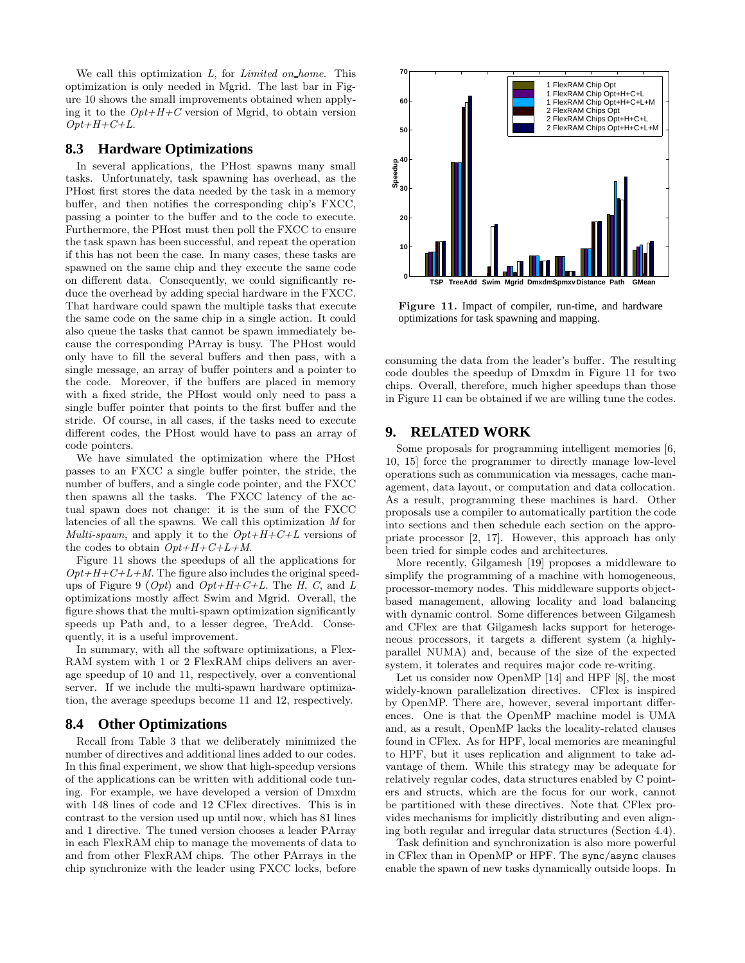We call this optimization L, for Limited on home. This optimization is only needed in Mgrid. The last bar in Figure 10 shows the small improvements obtained when applying it to the  $Opt+H+C$  version of Mgrid, to obtain version  $Opt+H+C+L$ .

#### **8.3 Hardware Optimizations**

In several applications, the PHost spawns many small tasks. Unfortunately, task spawning has overhead, as the PHost first stores the data needed by the task in a memory buffer, and then notifies the corresponding chip's FXCC, passing a pointer to the buffer and to the code to execute. Furthermore, the PHost must then poll the FXCC to ensure the task spawn has been successful, and repeat the operation if this has not been the case. In many cases, these tasks are spawned on the same chip and they execute the same code on different data. Consequently, we could significantly reduce the overhead by adding special hardware in the FXCC. That hardware could spawn the multiple tasks that execute the same code on the same chip in a single action. It could also queue the tasks that cannot be spawn immediately because the corresponding PArray is busy. The PHost would only have to fill the several buffers and then pass, with a single message, an array of buffer pointers and a pointer to the code. Moreover, if the buffers are placed in memory with a fixed stride, the PHost would only need to pass a single buffer pointer that points to the first buffer and the stride. Of course, in all cases, if the tasks need to execute different codes, the PHost would have to pass an array of code pointers.

We have simulated the optimization where the PHost passes to an FXCC a single buffer pointer, the stride, the number of buffers, and a single code pointer, and the FXCC then spawns all the tasks. The FXCC latency of the actual spawn does not change: it is the sum of the FXCC latencies of all the spawns. We call this optimization M for Multi-spawn, and apply it to the  $Opt+H+C+L$  versions of the codes to obtain  $Opt+H+C+L+M$ .

Figure 11 shows the speedups of all the applications for  $Opt+H+C+L+M$ . The figure also includes the original speedups of Figure 9 (Opt) and Opt+H+C+L. The H, C, and L optimizations mostly affect Swim and Mgrid. Overall, the figure shows that the multi-spawn optimization significantly speeds up Path and, to a lesser degree, TreAdd. Consequently, it is a useful improvement.

In summary, with all the software optimizations, a Flex-RAM system with 1 or 2 FlexRAM chips delivers an average speedup of 10 and 11, respectively, over a conventional server. If we include the multi-spawn hardware optimization, the average speedups become 11 and 12, respectively.

#### **8.4 Other Optimizations**

Recall from Table 3 that we deliberately minimized the number of directives and additional lines added to our codes. In this final experiment, we show that high-speedup versions of the applications can be written with additional code tuning. For example, we have developed a version of Dmxdm with 148 lines of code and 12 CFlex directives. This is in contrast to the version used up until now, which has 81 lines and 1 directive. The tuned version chooses a leader PArray in each FlexRAM chip to manage the movements of data to and from other FlexRAM chips. The other PArrays in the chip synchronize with the leader using FXCC locks, before



Figure 11. Impact of compiler, run-time, and hardware optimizations for task spawning and mapping.

consuming the data from the leader's buffer. The resulting code doubles the speedup of Dmxdm in Figure 11 for two chips. Overall, therefore, much higher speedups than those in Figure 11 can be obtained if we are willing tune the codes.

## **9. RELATED WORK**

Some proposals for programming intelligent memories [6, 10, 15] force the programmer to directly manage low-level operations such as communication via messages, cache management, data layout, or computation and data collocation. As a result, programming these machines is hard. Other proposals use a compiler to automatically partition the code into sections and then schedule each section on the appropriate processor [2, 17]. However, this approach has only been tried for simple codes and architectures.

More recently, Gilgamesh [19] proposes a middleware to simplify the programming of a machine with homogeneous, processor-memory nodes. This middleware supports objectbased management, allowing locality and load balancing with dynamic control. Some differences between Gilgamesh and CFlex are that Gilgamesh lacks support for heterogeneous processors, it targets a different system (a highlyparallel NUMA) and, because of the size of the expected system, it tolerates and requires major code re-writing.

Let us consider now OpenMP [14] and HPF [8], the most widely-known parallelization directives. CFlex is inspired by OpenMP. There are, however, several important differences. One is that the OpenMP machine model is UMA and, as a result, OpenMP lacks the locality-related clauses found in CFlex. As for HPF, local memories are meaningful to HPF, but it uses replication and alignment to take advantage of them. While this strategy may be adequate for relatively regular codes, data structures enabled by C pointers and structs, which are the focus for our work, cannot be partitioned with these directives. Note that CFlex provides mechanisms for implicitly distributing and even aligning both regular and irregular data structures (Section 4.4).

Task definition and synchronization is also more powerful in CFlex than in OpenMP or HPF. The sync/async clauses enable the spawn of new tasks dynamically outside loops. In